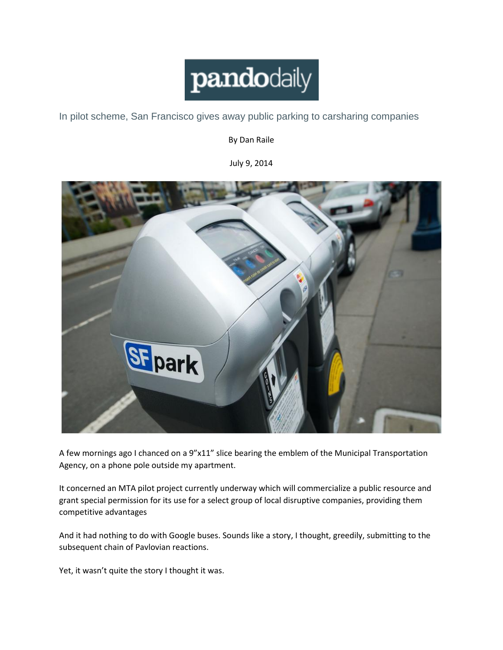

[In pilot scheme, San Francisco gives away public parking to carsharing companies](http://pando.com/2014/07/09/in-pilot-scheme-san-francisco-gives-away-public-parking-to-carsharing-companies/)

By Dan Raile

July 9, 2014



A few mornings ago I chanced on a 9"x11" slice bearing the emblem of the Municipal Transportation Agency, on a phone pole outside my apartment.

It concerned an MTA pilot project currently underway which will commercialize a public resource and grant special permission for its use for a select group of local disruptive companies, providing them competitive advantages

And it had nothing to do with Google buses. Sounds like a story, I thought, greedily, submitting to the subsequent chain of Pavlovian reactions.

Yet, it wasn't quite the story I thought it was.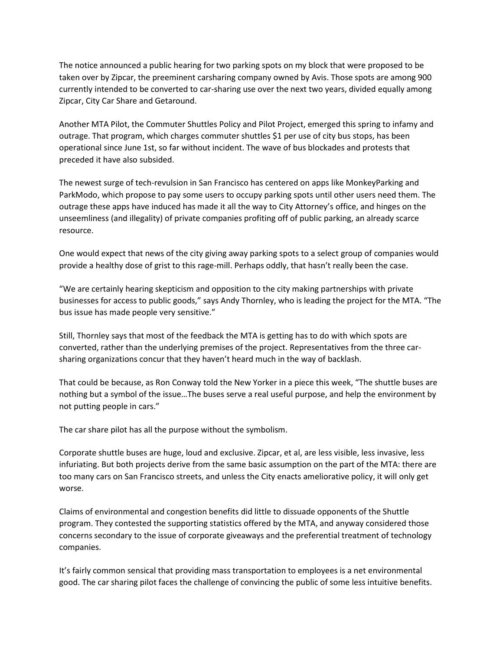The notice announced a public hearing for two parking spots on my block that were proposed to be taken over by Zipcar, the preeminent carsharing company owned by Avis. Those spots are among 900 currently intended to be converted to car-sharing use over the next two years, divided equally among Zipcar, City Car Share and Getaround.

Another MTA Pilot, the Commuter Shuttles Policy and Pilot Project, emerged this spring to infamy and outrage. That program, which charges commuter shuttles \$1 per use of city bus stops, has been operational since June 1st, so far without incident. The wave of bus blockades and protests that preceded it have also subsided.

The newest surge of tech-revulsion in San Francisco has centered on apps like MonkeyParking and ParkModo, which propose to pay some users to occupy parking spots until other users need them. The outrage these apps have induced has made it all the way to City Attorney's office, and hinges on the unseemliness (and illegality) of private companies profiting off of public parking, an already scarce resource.

One would expect that news of the city giving away parking spots to a select group of companies would provide a healthy dose of grist to this rage-mill. Perhaps oddly, that hasn't really been the case.

"We are certainly hearing skepticism and opposition to the city making partnerships with private businesses for access to public goods," says Andy Thornley, who is leading the project for the MTA. "The bus issue has made people very sensitive."

Still, Thornley says that most of the feedback the MTA is getting has to do with which spots are converted, rather than the underlying premises of the project. Representatives from the three carsharing organizations concur that they haven't heard much in the way of backlash.

That could be because, as Ron Conway told the New Yorker in a piece this week, "The shuttle buses are nothing but a symbol of the issue…The buses serve a real useful purpose, and help the environment by not putting people in cars."

The car share pilot has all the purpose without the symbolism.

Corporate shuttle buses are huge, loud and exclusive. Zipcar, et al, are less visible, less invasive, less infuriating. But both projects derive from the same basic assumption on the part of the MTA: there are too many cars on San Francisco streets, and unless the City enacts ameliorative policy, it will only get worse.

Claims of environmental and congestion benefits did little to dissuade opponents of the Shuttle program. They contested the supporting statistics offered by the MTA, and anyway considered those concerns secondary to the issue of corporate giveaways and the preferential treatment of technology companies.

It's fairly common sensical that providing mass transportation to employees is a net environmental good. The car sharing pilot faces the challenge of convincing the public of some less intuitive benefits.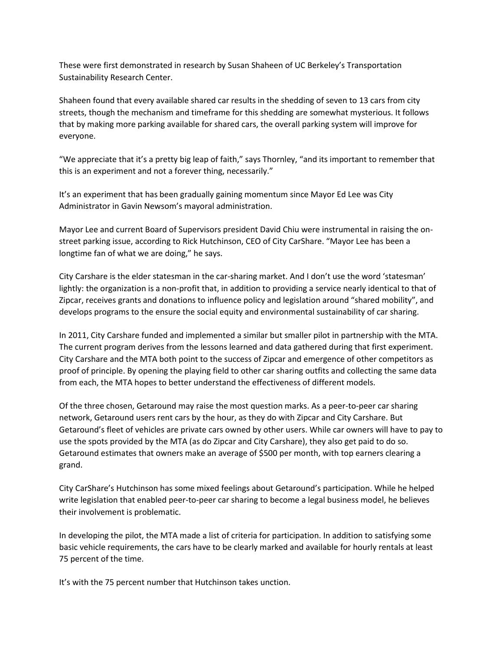These were first demonstrated in research by Susan Shaheen of UC Berkeley's Transportation Sustainability Research Center.

Shaheen found that every available shared car results in the shedding of seven to 13 cars from city streets, though the mechanism and timeframe for this shedding are somewhat mysterious. It follows that by making more parking available for shared cars, the overall parking system will improve for everyone.

"We appreciate that it's a pretty big leap of faith," says Thornley, "and its important to remember that this is an experiment and not a forever thing, necessarily."

It's an experiment that has been gradually gaining momentum since Mayor Ed Lee was City Administrator in Gavin Newsom's mayoral administration.

Mayor Lee and current Board of Supervisors president David Chiu were instrumental in raising the onstreet parking issue, according to Rick Hutchinson, CEO of City CarShare. "Mayor Lee has been a longtime fan of what we are doing," he says.

City Carshare is the elder statesman in the car-sharing market. And I don't use the word 'statesman' lightly: the organization is a non-profit that, in addition to providing a service nearly identical to that of Zipcar, receives grants and donations to influence policy and legislation around "shared mobility", and develops programs to the ensure the social equity and environmental sustainability of car sharing.

In 2011, City Carshare funded and implemented a similar but smaller pilot in partnership with the MTA. The current program derives from the lessons learned and data gathered during that first experiment. City Carshare and the MTA both point to the success of Zipcar and emergence of other competitors as proof of principle. By opening the playing field to other car sharing outfits and collecting the same data from each, the MTA hopes to better understand the effectiveness of different models.

Of the three chosen, Getaround may raise the most question marks. As a peer-to-peer car sharing network, Getaround users rent cars by the hour, as they do with Zipcar and City Carshare. But Getaround's fleet of vehicles are private cars owned by other users. While car owners will have to pay to use the spots provided by the MTA (as do Zipcar and City Carshare), they also get paid to do so. Getaround estimates that owners make an average of \$500 per month, with top earners clearing a grand.

City CarShare's Hutchinson has some mixed feelings about Getaround's participation. While he helped write legislation that enabled peer-to-peer car sharing to become a legal business model, he believes their involvement is problematic.

In developing the pilot, the MTA made a list of criteria for participation. In addition to satisfying some basic vehicle requirements, the cars have to be clearly marked and available for hourly rentals at least 75 percent of the time.

It's with the 75 percent number that Hutchinson takes unction.